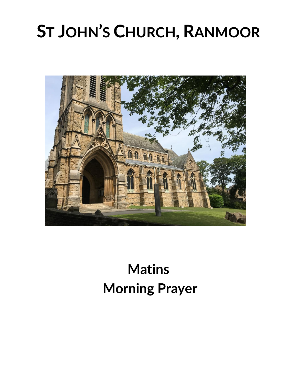# **ST JOHN'S CHURCH, RANMOOR**



# **Matins Morning Prayer**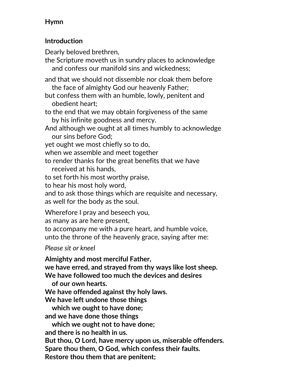# **Hymn**

#### **Introduction**

Dearly beloved brethren,

the Scripture moveth us in sundry places to acknowledge and confess our manifold sins and wickedness;

and that we should not dissemble nor cloak them before the face of almighty God our heavenly Father;

but confess them with an humble, lowly, penitent and obedient heart;

to the end that we may obtain forgiveness of the same by his infinite goodness and mercy.

And although we ought at all times humbly to acknowledge our sins before God;

yet ought we most chiefly so to do,

when we assemble and meet together

to render thanks for the great benefits that we have received at his hands,

to set forth his most worthy praise,

to hear his most holy word,

and to ask those things which are requisite and necessary, as well for the body as the soul.

Wherefore I pray and beseech you,

as many as are here present,

to accompany me with a pure heart, and humble voice, unto the throne of the heavenly grace, saying after me:

*Please sit or kneel*

**Almighty and most merciful Father, we have erred, and strayed from thy ways like lost sheep. We have followed too much the devices and desires of our own hearts. We have offended against thy holy laws. We have left undone those things which we ought to have done; and we have done those things which we ought not to have done; and there is no health in us. But thou, O Lord, have mercy upon us, miserable offenders. Spare thou them, O God, which confess their faults. Restore thou them that are penitent;**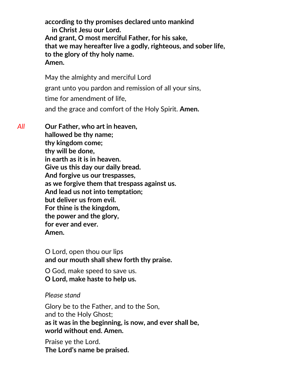**according to thy promises declared unto mankind in Christ Jesu our Lord. And grant, O most merciful Father, for his sake, that we may hereafter live a godly, righteous, and sober life, to the glory of thy holy name. Amen.** 

May the almighty and merciful Lord grant unto you pardon and remission of all your sins, time for amendment of life, and the grace and comfort of the Holy Spirit. **Amen.**

*All* **Our Father, who art in heaven, hallowed be thy name; thy kingdom come; thy will be done, in earth as it is in heaven. Give us this day our daily bread. And forgive us our trespasses,**

**as we forgive them that trespass against us.**

**And lead us not into temptation;**

**but deliver us from evil.**

**For thine is the kingdom,**

**the power and the glory,**

**for ever and ever.**

**Amen.**

O Lord, open thou our lips **and our mouth shall shew forth thy praise.**

O God, make speed to save us. **O Lord, make haste to help us.**

#### *Please stand*

Glory be to the Father, and to the Son, and to the Holy Ghost; **as it was in the beginning, is now, and ever shall be, world without end. Amen.**

Praise ye the Lord. **The Lord's name be praised.**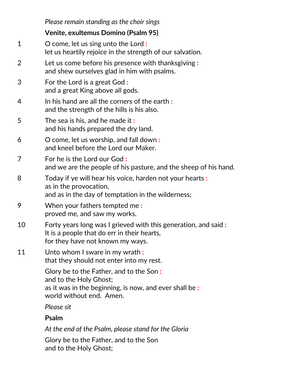|    | Please remain standing as the choir sings                                                                                                               |
|----|---------------------------------------------------------------------------------------------------------------------------------------------------------|
|    | Venite, exultemus Domino (Psalm 95)                                                                                                                     |
| 1  | O come, let us sing unto the Lord :<br>let us heartily rejoice in the strength of our salvation.                                                        |
| 2  | Let us come before his presence with thanksgiving:<br>and shew ourselves glad in him with psalms.                                                       |
| 3  | For the Lord is a great God:<br>and a great King above all gods.                                                                                        |
| 4  | In his hand are all the corners of the earth:<br>and the strength of the hills is his also.                                                             |
| 5  | The sea is his, and he made it:<br>and his hands prepared the dry land.                                                                                 |
| 6  | O come, let us worship, and fall down:<br>and kneel before the Lord our Maker.                                                                          |
| 7  | For he is the Lord our God:<br>and we are the people of his pasture, and the sheep of his hand.                                                         |
| 8  | Today if ye will hear his voice, harden not your hearts :<br>as in the provocation,<br>and as in the day of temptation in the wilderness;               |
| 9  | When your fathers tempted me:<br>proved me, and saw my works.                                                                                           |
| 10 | Forty years long was I grieved with this generation, and said:<br>It is a people that do err in their hearts,<br>for they have not known my ways.       |
| 11 | Unto whom I sware in my wrath:<br>that they should not enter into my rest.                                                                              |
|    | Glory be to the Father, and to the Son:<br>and to the Holy Ghost;<br>as it was in the beginning, is now, and ever shall be:<br>world without end. Amen. |
|    | Please sit                                                                                                                                              |
|    | <b>Psalm</b>                                                                                                                                            |
|    | At the end of the Psalm, please stand for the Gloria                                                                                                    |
|    | Glory be to the Father, and to the Son<br>and to the Holy Ghost;                                                                                        |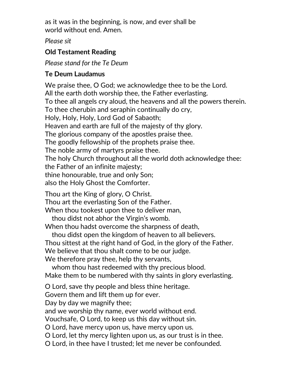as it was in the beginning, is now, and ever shall be world without end. Amen.

*Please sit*

## **Old Testament Reading**

*Please stand for the Te Deum*

# **Te Deum Laudamus**

We praise thee, O God; we acknowledge thee to be the Lord. All the earth doth worship thee, the Father everlasting. To thee all angels cry aloud, the heavens and all the powers therein. To thee cherubin and seraphin continually do cry, Holy, Holy, Holy, Lord God of Sabaoth; Heaven and earth are full of the majesty of thy glory. The glorious company of the apostles praise thee. The goodly fellowship of the prophets praise thee. The noble army of martyrs praise thee. The holy Church throughout all the world doth acknowledge thee: the Father of an infinite majesty; thine honourable, true and only Son; also the Holy Ghost the Comforter. Thou art the King of glory, O Christ. Thou art the everlasting Son of the Father. When thou tookest upon thee to deliver man, thou didst not abhor the Virgin's womb. When thou hadst overcome the sharpness of death, thou didst open the kingdom of heaven to all believers. Thou sittest at the right hand of God, in the glory of the Father. We believe that thou shalt come to be our judge.

We therefore pray thee, help thy servants,

whom thou hast redeemed with thy precious blood. Make them to be numbered with thy saints in glory everlasting.

O Lord, save thy people and bless thine heritage.

Govern them and lift them up for ever.

Day by day we magnify thee;

and we worship thy name, ever world without end.

Vouchsafe, O Lord, to keep us this day without sin.

O Lord, have mercy upon us, have mercy upon us.

O Lord, let thy mercy lighten upon us, as our trust is in thee.

O Lord, in thee have I trusted; let me never be confounded.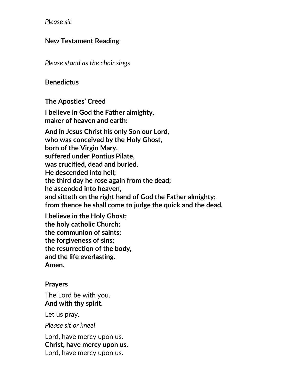*Please sit* 

#### **New Testament Reading**

*Please stand as the choir sings*

#### **Benedictus**

**The Apostles' Creed**

**I believe in God the Father almighty, maker of heaven and earth:**

**And in Jesus Christ his only Son our Lord, who was conceived by the Holy Ghost, born of the Virgin Mary, suffered under Pontius Pilate, was crucified, dead and buried. He descended into hell; the third day he rose again from the dead; he ascended into heaven, and sitteth on the right hand of God the Father almighty; from thence he shall come to judge the quick and the dead.**

**I believe in the Holy Ghost; the holy catholic Church; the communion of saints; the forgiveness of sins; the resurrection of the body, and the life everlasting. Amen.**

#### **Prayers**

The Lord be with you. **And with thy spirit.**

Let us pray.

*Please sit or kneel*

Lord, have mercy upon us. **Christ, have mercy upon us.** Lord, have mercy upon us.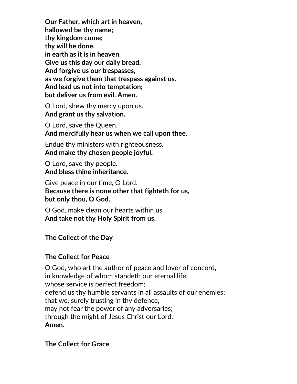**Our Father, which art in heaven, hallowed be thy name; thy kingdom come; thy will be done, in earth as it is in heaven. Give us this day our daily bread. And forgive us our trespasses, as we forgive them that trespass against us. And lead us not into temptation; but deliver us from evil. Amen.**

O Lord, shew thy mercy upon us. **And grant us thy salvation.**

O Lord, save the Queen. **And mercifully hear us when we call upon thee.**

Endue thy ministers with righteousness. **And make thy chosen people joyful.**

O Lord, save thy people. **And bless thine inheritance.**

Give peace in our time, O Lord. **Because there is none other that fighteth for us, but only thou, O God.**

O God, make clean our hearts within us. **And take not thy Holy Spirit from us.**

#### **The Collect of the Day**

#### **The Collect for Peace**

O God, who art the author of peace and lover of concord, in knowledge of whom standeth our eternal life, whose service is perfect freedom; defend us thy humble servants in all assaults of our enemies; that we, surely trusting in thy defence, may not fear the power of any adversaries; through the might of Jesus Christ our Lord. **Amen.**

**The Collect for Grace**